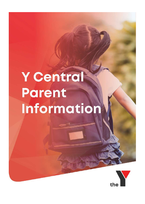# Y Central **Parent** Information

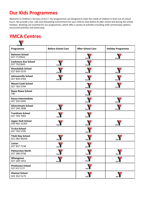# **Our Kids Programmes**

Welcome to Children's Services at the Y. Our programmes are designed to meet the needs of children in their out of school hours. We provide a fun, safe and stimulating environment for your child to relax before & after school and during the school holidays. Bookings are essential for our programmes, which offer a variety of activities including child-centred play options, structured activities and active play.

# **YMCA Centres**

 $\sqrt{2}$ 

| Programme                                  | <b>Before School Care</b> | <b>After School Care</b> | <b>Holiday Programme</b> |
|--------------------------------------------|---------------------------|--------------------------|--------------------------|
| <b>Belmont School</b><br>027 7170922       |                           |                          |                          |
| <b>Cashmere Ave School</b><br>027 7025843  |                           |                          |                          |
| <b>Khandallah School</b><br>027 839 5370   | the                       | the                      |                          |
| Johnsonville School<br>027 839 4783        |                           |                          |                          |
| <b>Mount Cook School</b><br>027 782 0794   |                           |                          |                          |
| <b>Rewa Rewa School</b><br><b>TBC</b>      |                           |                          |                          |
| Raroa Intermediate<br>027 335 0183         |                           |                          |                          |
| <b>Silverstream School</b><br>027 244 2608 |                           |                          |                          |
| <b>Trentham School</b><br>027 704 7093     |                           |                          |                          |
| <b>Upper Hutt School</b><br>020 402 31202  |                           |                          |                          |
| <b>Te Aro School</b><br>027 703 5705       |                           |                          |                          |
| <b>Titahi Bay School</b><br>021 082 99256  |                           |                          |                          |
| Linton<br>027 837 7138                     |                           |                          |                          |
| <b>Palmerston North</b><br>027 286 9758    | the                       | the                      | the                      |
| Whanganui<br>027 269 1452                  | the                       | the                      | the                      |
| <b>Pinehaven School</b><br>022 352 5173    |                           |                          |                          |
| Hiwinui School<br>022 352 5175             |                           |                          |                          |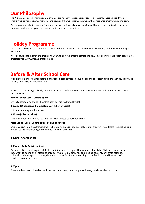# **Our Philosophy**

The Y is a values based organisation. Our values are honesty, responsibility, respect and caring. These values drive our programme content, how we manage behaviour, and the way that we interact with participants, their whanau and staff.

Our programmes aim to develop, foster and support positive relationships with families and communities by providing strong values based programmes that support our local communities.

## **Holiday Programme**

Our school holiday programmes offer a range of themed in-house days and off- site adventures, so there is something for everyone.

Please ensure that children are onsite by 8:30am to ensure a smooth start to the day. To see our current holiday programme timetable visit [www.ymcawellington.org.nz](http://www.ymcawellington.org.nz/)

## **Before & After School Care**

We believe it's important for before & after school care centres to have a clear and consistent structure each day to provide stability for all kids, parents and staff.

Below is a guide of a typical daily structure. Structures differ between centres to ensure a suitable fit for children and the centre culture.

#### **Before School Care - Centre opens**

A variety of free-play and child-centred activities are facilitated by staff.

#### **8.15am- (Whanganui, Palmerston North, Linton Sites)**

Children are transported to school.

#### **8.25am- (all other sites)**

Children are called in for a roll call and get ready to head to class at 8.30am.

#### **After School Care - Centre opens at end of school**

Children arrive from class (for sites where the programme is not on school grounds children are collected from school and brought to the centre) and get their name signed off of the roll.

#### **3.30pm - Afternoon tea**

#### **4.00pm – Daily Activities Start**

Daily activities run alongside child-led activities and free-play that our staff facilitate. Children decide how they want to spend their afternoon from 4.00pm. Daily activities can include cooking, art, craft, science, cultural activities, sports, drama, dance and more. Staff plan according to the feedback and interests of children on our programmes.

#### **6:00pm**

Everyone has been picked up and the centre is clean, tidy and packed away ready for the next day.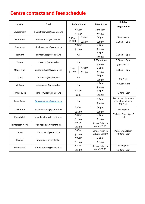# **Centre contacts and fees schedule**

| Location                   | Email                                                | <b>Before School</b> |                   | <b>After School</b>                | Holiday                          |
|----------------------------|------------------------------------------------------|----------------------|-------------------|------------------------------------|----------------------------------|
|                            |                                                      |                      |                   |                                    | <b>Programmes</b>                |
| Silverstream               |                                                      |                      | 7.30am            | 3pm-6pm                            |                                  |
|                            | silverstream.asc@ycentral.nz                         |                      | \$11.00           | \$19.80                            |                                  |
| Trentham                   |                                                      | 7.00am<br>\$12.00    | 7.30am            | $3-6pm$                            | Silverstream                     |
|                            | trentham.asc@ycentral.nz                             |                      | \$11.00           | \$19.80                            | $7.30$ am – 6pm                  |
| Pinehaven                  | pinehaven.asc@ycentral.nz                            | 7:00am<br>\$12.00    |                   | $3-6$ pm                           |                                  |
|                            |                                                      |                      |                   | \$15.00                            |                                  |
| Belmont                    |                                                      | <b>NA</b>            |                   | $3-6pm$                            | $7.30am - 6pm$                   |
|                            | belmont.asc@ycentral.nz                              |                      |                   | \$19.80                            |                                  |
|                            |                                                      |                      |                   | 2.50pm-6pm                         | $7.30am - 6pm$                   |
| Raroa                      | raroa.asc@ycentral.nz                                | <b>NA</b>            |                   | \$19.80                            | (Ages 10-15)                     |
|                            |                                                      | 7am                  | 7:30am            | $3-6pm$                            |                                  |
| <b>Upper Hutt</b>          | upperhutt.asc@ycentral.nz                            | \$12.00              | \$11.00           | \$19.80                            | $7.00am - 6pm$                   |
|                            |                                                      | <b>NA</b>            |                   | $3-6pm$                            |                                  |
| Te Aro                     | tearo.asc@ycentral.nz                                |                      |                   | \$19.80                            | Mt Cook                          |
| Mt Cook                    | mtcook.asc@ycentral.nz                               | <b>NA</b>            |                   | $3-6pm$                            | 7.30am-6pm                       |
|                            |                                                      |                      |                   | \$19.80                            |                                  |
| Johnsonville               | johnsonville@ycentral.nz                             | 7:30am<br>\$9.00     |                   | $3-6pm$                            | 7:30am - 6pm                     |
|                            |                                                      |                      |                   | \$16.50                            |                                  |
|                            | Rewarewa.asc@ycentral.nz<br>cashmere.asc@ycentral.nz | <b>NA</b><br>7.30am  |                   | $3-6pm$                            | Available at Johnson-            |
| Rewa Rewa                  |                                                      |                      |                   | \$16.50                            | ville, Khandallah or             |
|                            |                                                      |                      |                   | $3-6$ pm                           | Mt Cook                          |
| Cashmere                   |                                                      |                      |                   |                                    | Khandallah                       |
|                            |                                                      | \$11.00<br>7.30am    |                   | \$19.80<br>$3-6pm$                 | 7:30am - 6pm (Ages 5             |
| Khandallah                 | khandallah.asc@ycentral.nz                           |                      |                   |                                    | $-10$                            |
| Palmerston North<br>Linton | Parkroad.asc@ycentral.nz<br>Linton.asc@ycentral.nz   | \$11.00<br>7:00am    |                   | \$19.80<br>School finish to        |                                  |
|                            |                                                      |                      |                   | 6pm \$20.00                        |                                  |
|                            |                                                      | \$12.50<br>7:00am    |                   |                                    |                                  |
|                            |                                                      |                      | \$12.50           | School finish to<br>5:30pm \$18.00 | Palmerston North<br>7:00am - 6pm |
| Hiwinui                    |                                                      |                      | 7:00am            | $3-6pm$                            |                                  |
|                            | hiwinui.asc@ycentral.nz                              |                      |                   | \$15.00                            |                                  |
| Whanganui                  |                                                      |                      | \$12.00<br>6:30am | School finish to                   | Whanganui                        |
|                            | Simon.bowker@ycentral.nz                             | \$15.00              |                   | 6pm \$22.00                        | 6:30am - 6pm                     |
|                            |                                                      |                      |                   |                                    |                                  |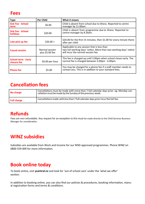## **Fees**

| <b>Type</b>                                                  | <b>Per Child</b>                  | What it means                                                                                                                                          |  |
|--------------------------------------------------------------|-----------------------------------|--------------------------------------------------------------------------------------------------------------------------------------------------------|--|
| <b>Sick Fee - School</b><br>term                             | \$6.00                            | Child is absent from school due to illness. Reported to centre<br>manager by 11.00am.                                                                  |  |
| <b>Sick Fee - School</b><br>holidays                         | \$20.00                           | Child is absent from programme due to illness. Reported to<br>centre manager by 8.30am.                                                                |  |
| Late pick up fee                                             | $$20.00 +$                        | \$20.00 for the first 15 minutes, then \$1.00 for every minute there-<br>after per child.                                                              |  |
| <b>Casual session</b>                                        | Normal session<br>plus \$5.00 fee | Applicable to any session that is less than<br>two full working days' notice. More than two working days' notice<br>will incur the normal session fee. |  |
| <b>School term - Early</b><br>\$6.00 per hour<br>closure fee |                                   | This fee is charged up until 3.00pm when school closes early. The<br>normal fee is charged between 3.00pm - 6.00pm.                                    |  |
| <b>Phone fee</b>                                             | \$5.00                            | You may be charged for a phone fee if a staff member needs to<br>contact you. This is in addition to your standard fees.                               |  |

# **Cancellation fees**

| No charge          | Cancellations must be made with more than 7 full calendar days prior. eg. Monday can-<br>cellation must be made by the Sunday of the previous week. |
|--------------------|-----------------------------------------------------------------------------------------------------------------------------------------------------|
| <b>Full charge</b> | Cancellations made with less than 7 full calendar days prior incur the full fee.                                                                    |

## **Refunds**

Fees are non-refundable. Any request for an exception to this must be made directly to the Child Services Business Manager for consideration.

# **WINZ subsidies**

Subsidies are available from Work and Income for our MSD approved programmes. Phone WINZ on 0800 559 009 for more information.

## **Book online today**

To book online, visit **ycentral.nz** and look for 'out of school care' under the 'what we offer' section.

In addition to booking online, you can also find our policies & procedures, booking information, manual registration forms and terms & conditions.